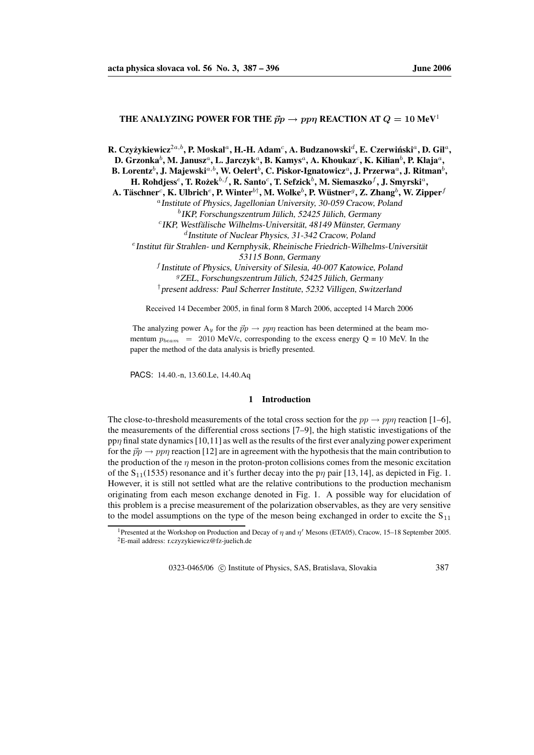# **THE ANALYZING POWER FOR THE**  $\vec{p}p \rightarrow pp\eta$  **<b>REACTION** AT  $Q = 10 \text{ MeV}^1$

R. Czyżykiewicz $^{2a,b},$  P. Moskal $^a,$  H.-H. Adam $^c,$  A. Budzanowski $^d,$  E. Czerwiński $^a,$  D. Gil $^a,$ 

D. Grzonka $^b$ , M. Janusz $^a$ , L. Jarczyk $^a$ , B. Kamys $^a$ , A. Khoukaz $^c$ , K. Kilian $^b$ , P. Klaja $^a$ ,

 ${\bf B. Lorentz}^b,$   ${\bf J. Majewski}^{a,b},$   ${\bf W. Oelert}^b,$   ${\bf C. Piskor-Ignatowicz}^a,$   ${\bf J. Przerwa}^a,$   ${\bf J. Ritman}^b,$ 

 $\mathbf{H}.$  <code>Rohdjess $^e$ , T. Rożek $^{b,f}$ , R. Santo $^c$ , T. Sefzick $^b$ , M. Siemaszko $^f$ , J. Smyrski $^a$ ,</code>

A. Täschner $^c$ , K. Ulbrich $^e$ , P. Winter $^{b\dagger}$ , M. Wolke $^b$ , P. Wüstner $^g$ , Z. Zhang $^b$ , W. Zipper $^f$ 

a Institute of Physics, Jagellonian University, 30-059 Cracow, Poland

<sup>c</sup> IKP, Westfälische Wilhelms-Universität, 48149 Münster, Germany d Institute of Nuclear Physics, 31-342 Cracow, Poland

eInstitut für Strahlen- und Kernphysik, Rheinische Friedrich-Wilhelms-Universität

53115 Bonn, Germany

f Institute of Physics, University of Silesia, 40-007 Katowice, Poland  ${}^{9}$ ZEL, Forschungszentrum Jülich, 52425 Jülich, Germany †present address: Paul Scherrer Institute, <sup>5232</sup> Villigen, Switzerland

Received 14 December 2005, in final form 8 March 2006, accepted 14 March 2006

The analyzing power  $A_y$  for the  $\vec{p}p \rightarrow pp\eta$  reaction has been determined at the beam momentum  $p_{beam}$  = 2010 MeV/c, corresponding to the excess energy Q = 10 MeV. In the paper the method of the data analysis is briefly presented.

PACS: 14.40.-n, 13.60.Le, 14.40.Aq

#### **1 Introduction**

The close-to-threshold measurements of the total cross section for the  $pp \rightarrow pp\eta$  reaction [1–6], the measurements of the differential cross sections [7–9], the high statistic investigations of the pp $\eta$  final state dynamics [10,11] as well as the results of the first ever analyzing power experiment for the  $\vec{p}p \rightarrow pp\eta$  reaction [12] are in agreement with the hypothesis that the main contribution to the production of the  $\eta$  meson in the proton-proton collisions comes from the mesonic excitation of the  $S_{11}(1535)$  resonance and it's further decay into the p<sub>n</sub> pair [13, 14], as depicted in Fig. 1. However, it is still not settled what are the relative contributions to the production mechanism originating from each meson exchange denoted in Fig. 1. A possible way for elucidation of this problem is a precise measurement of the polarization observables, as they are very sensitive to the model assumptions on the type of the meson being exchanged in order to excite the  $S_{11}$ 

0323-0465/06 © Institute of Physics, SAS, Bratislava, Slovakia 387

 ${}^b$ IKP, Forschungszentrum Jülich, 52425 Jülich, Germany

<sup>&</sup>lt;sup>1</sup>Presented at the Workshop on Production and Decay of  $\eta$  and  $\eta'$  Mesons (ETA05), Cracow, 15–18 September 2005. <sup>2</sup>E-mail address: r.czyzykiewicz@fz-juelich.de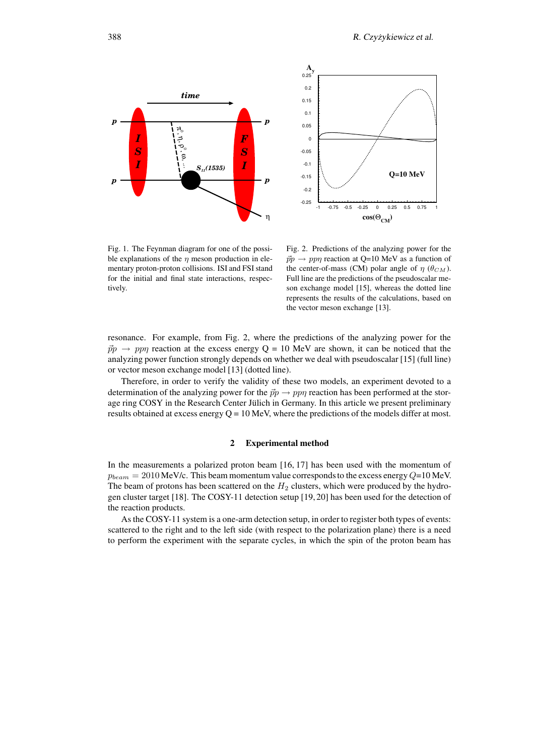



Fig. 1. The Feynman diagram for one of the possible explanations of the  $\eta$  meson production in elementary proton-proton collisions. ISI and FSI stand for the initial and final state interactions, respectively.

Fig. 2. Predictions of the analyzing power for the  $\vec{p}p \rightarrow pp\eta$  reaction at Q=10 MeV as a function of the center-of-mass (CM) polar angle of  $\eta$  ( $\theta_{CM}$ ). Full line are the predictions of the pseudoscalar meson exchange model [15], whereas the dotted line represents the results of the calculations, based on the vector meson exchange [13].

resonance. For example, from Fig. 2, where the predictions of the analyzing power for the  $\vec{p}p \rightarrow pp\eta$  reaction at the excess energy Q = 10 MeV are shown, it can be noticed that the analyzing power function strongly depends on whether we deal with pseudoscalar [15] (full line) or vector meson exchange model [13] (dotted line).

Therefore, in order to verify the validity of these two models, an experiment devoted to a determination of the analyzing power for the  $\vec{p}p \rightarrow pp\eta$  reaction has been performed at the storage ring COSY in the Research Center Jülich in Germany. In this article we present preliminary results obtained at excess energy  $Q = 10$  MeV, where the predictions of the models differ at most.

#### **2 Experimental method**

In the measurements a polarized proton beam [16, 17] has been used with the momentum of  $p_{beam} = 2010$  MeV/c. This beam momentum value corresponds to the excess energy  $Q=10$  MeV. The beam of protons has been scattered on the  $H_2$  clusters, which were produced by the hydrogen cluster target [18]. The COSY-11 detection setup [19, 20] has been used for the detection of the reaction products.

As the COSY-11 system is a one-arm detection setup, in order to register both types of events: scattered to the right and to the left side (with respect to the polarization plane) there is a need to perform the experiment with the separate cycles, in which the spin of the proton beam has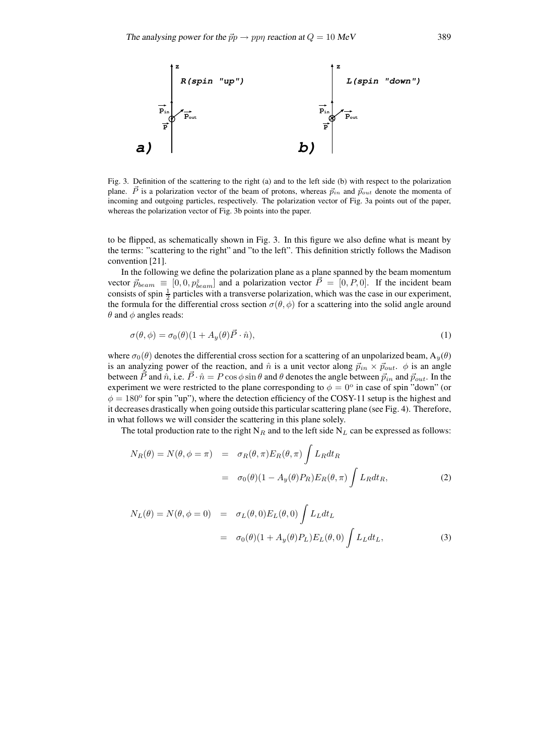

Fig. 3. Definition of the scattering to the right (a) and to the left side (b) with respect to the polarization plane.  $\vec{P}$  is a polarization vector of the beam of protons, whereas  $\vec{p}_{in}$  and  $\vec{p}_{out}$  denote the momenta of incoming and outgoing particles, respectively. The polarization vector of Fig. 3a points out of the paper, whereas the polarization vector of Fig. 3b points into the paper.

to be flipped, as schematically shown in Fig. 3. In this figure we also define what is meant by the terms: "scattering to the right" and "to the left". This definition strictly follows the Madison convention [21].

In the following we define the polarization plane as a plane spanned by the beam momentum vector  $\vec{p}_{beam} \equiv [0, 0, p_{beam}^z]$  and a polarization vector  $\vec{P} = [0, P, 0]$ . If the incident beam consists of spin  $\frac{1}{2}$  particles with a transverse polarization, which was the case in our experiment, the formula for the differential cross section  $\sigma(\theta, \phi)$  for a scattering into the solid angle around  $\theta$  and  $\phi$  angles reads:

$$
\sigma(\theta,\phi) = \sigma_0(\theta)(1 + A_y(\theta)\vec{P} \cdot \hat{n}),\tag{1}
$$

where  $\sigma_0(\theta)$  denotes the differential cross section for a scattering of an unpolarized beam,  $A_y(\theta)$ is an analyzing power of the reaction, and  $\hat{n}$  is a unit vector along  $\vec{p}_{in} \times \vec{p}_{out}$ .  $\phi$  is an angle between  $\vec{P}$  and  $\hat{n}$ , i.e.  $\vec{P} \cdot \hat{n} = P \cos \phi \sin \theta$  and  $\theta$  denotes the angle between  $\vec{p}_{in}$  and  $\vec{p}_{out}$ . In the experiment we were restricted to the plane corresponding to  $\phi = 0^{\circ}$  in case of spin "down" (or  $\phi = 180^\circ$  for spin "up"), where the detection efficiency of the COSY-11 setup is the highest and it decreases drastically when going outside this particular scattering plane (see Fig. 4). Therefore, in what follows we will consider the scattering in this plane solely.

The total production rate to the right  $N_R$  and to the left side  $N_L$  can be expressed as follows:

$$
N_R(\theta) = N(\theta, \phi = \pi) = \sigma_R(\theta, \pi) E_R(\theta, \pi) \int L_R dt_R
$$
  
=  $\sigma_0(\theta) (1 - A_y(\theta) P_R) E_R(\theta, \pi) \int L_R dt_R,$  (2)

$$
N_L(\theta) = N(\theta, \phi = 0) = \sigma_L(\theta, 0) E_L(\theta, 0) \int L_L dt_L
$$
  
=  $\sigma_0(\theta) (1 + A_y(\theta) P_L) E_L(\theta, 0) \int L_L dt_L,$  (3)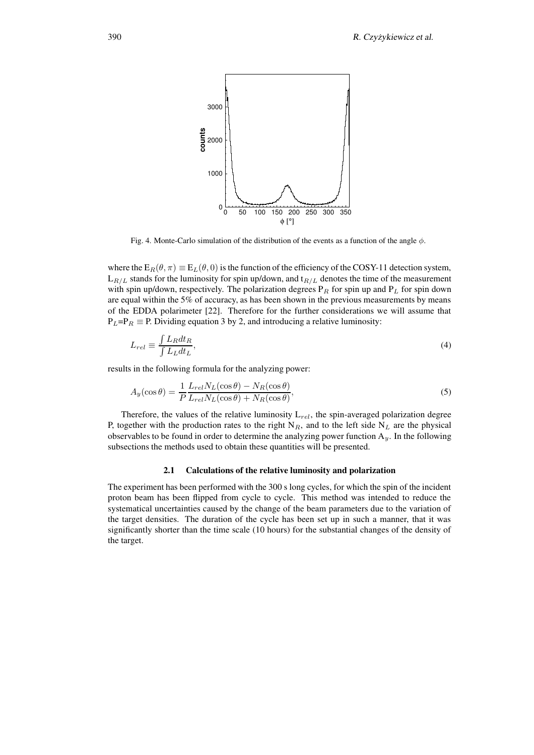

Fig. 4. Monte-Carlo simulation of the distribution of the events as a function of the angle  $\phi$ .

where the  $E_R(\theta, \pi) \equiv E_L(\theta, 0)$  is the function of the efficiency of the COSY-11 detection system,  $L_{R/L}$  stands for the luminosity for spin up/down, and  $t_{R/L}$  denotes the time of the measurement with spin up/down, respectively. The polarization degrees  $P_R$  for spin up and  $P_L$  for spin down are equal within the 5% of accuracy, as has been shown in the previous measurements by means of the EDDA polarimeter [22]. Therefore for the further considerations we will assume that  $P_L = P_R \equiv P$ . Dividing equation 3 by 2, and introducing a relative luminosity:

$$
L_{rel} \equiv \frac{\int L_R dt_R}{\int L_L dt_L},\tag{4}
$$

results in the following formula for the analyzing power:

$$
A_y(\cos \theta) = \frac{1}{P} \frac{L_{rel} N_L(\cos \theta) - N_R(\cos \theta)}{L_{rel} N_L(\cos \theta) + N_R(\cos \theta)},
$$
\n(5)

Therefore, the values of the relative luminosity  $L_{rel}$ , the spin-averaged polarization degree P, together with the production rates to the right  $N_R$ , and to the left side  $N_L$  are the physical observables to be found in order to determine the analyzing power function  $A_y$ . In the following subsections the methods used to obtain these quantities will be presented.

#### **2.1 Calculations of the relative luminosity and polarization**

The experiment has been performed with the 300 s long cycles, for which the spin of the incident proton beam has been flipped from cycle to cycle. This method was intended to reduce the systematical uncertainties caused by the change of the beam parameters due to the variation of the target densities. The duration of the cycle has been set up in such a manner, that it was significantly shorter than the time scale (10 hours) for the substantial changes of the density of the target.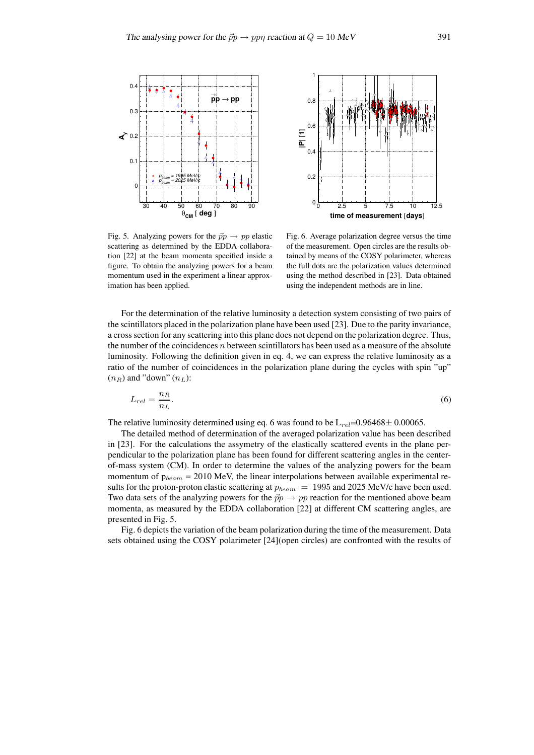



Fig. 5. Analyzing powers for the  $\vec{p}p \rightarrow pp$  elastic scattering as determined by the EDDA collaboration [22] at the beam momenta specified inside a figure. To obtain the analyzing powers for a beam momentum used in the experiment a linear approximation has been applied.

Fig. 6. Average polarization degree versus the time of the measurement. Open circles are the results obtained by means of the COSY polarimeter, whereas the full dots are the polarization values determined using the method described in [23]. Data obtained using the independent methods are in line.

For the determination of the relative luminosity a detection system consisting of two pairs of the scintillators placed in the polarization plane have been used [23]. Due to the parity invariance, a cross section for any scattering into this plane does not depend on the polarization degree. Thus, the number of the coincidences  $n$  between scintillators has been used as a measure of the absolute luminosity. Following the definition given in eq. 4, we can express the relative luminosity as a ratio of the number of coincidences in the polarization plane during the cycles with spin "up"  $(n_R)$  and "down"  $(n_L)$ :

$$
L_{rel} = \frac{n_R}{n_L}.\tag{6}
$$

The relative luminosity determined using eq. 6 was found to be  $L_{rel}$ =0.96468± 0.00065.

The detailed method of determination of the averaged polarization value has been described in [23]. For the calculations the assymetry of the elastically scattered events in the plane perpendicular to the polarization plane has been found for different scattering angles in the centerof-mass system (CM). In order to determine the values of the analyzing powers for the beam momentum of  $p_{beam} = 2010$  MeV, the linear interpolations between available experimental results for the proton-proton elastic scattering at  $p_{beam} = 1995$  and 2025 MeV/c have been used. Two data sets of the analyzing powers for the  $\vec{p}p \rightarrow pp$  reaction for the mentioned above beam momenta, as measured by the EDDA collaboration [22] at different CM scattering angles, are presented in Fig. 5.

Fig. 6 depicts the variation of the beam polarization during the time of the measurement. Data sets obtained using the COSY polarimeter [24](open circles) are confronted with the results of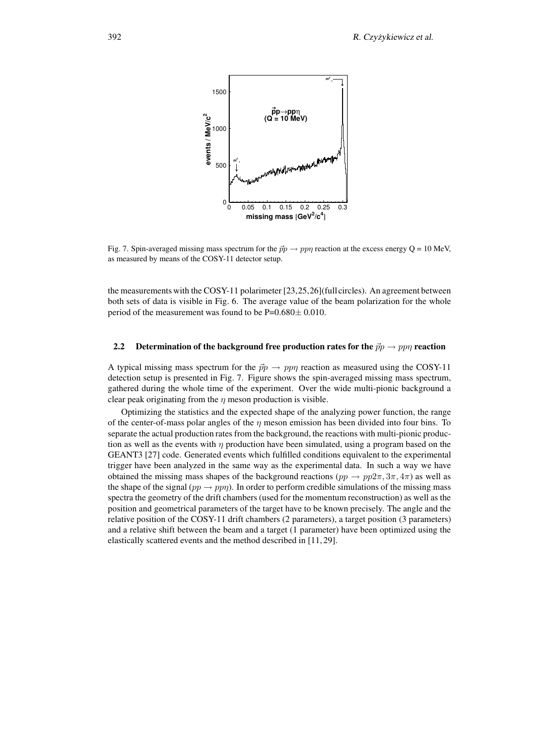

Fig. 7. Spin-averaged missing mass spectrum for the  $\vec{p}p \rightarrow pp\eta$  reaction at the excess energy Q = 10 MeV, as measured by means of the COSY-11 detector setup.

the measurements with the COSY-11 polarimeter [23,25,26](full circles). An agreement between both sets of data is visible in Fig. 6. The average value of the beam polarization for the whole period of the measurement was found to be P=0.680± 0.010.

## **2.2 Determination** of the background free production rates for the  $\vec{p}p \rightarrow pp\eta$  reaction

A typical missing mass spectrum for the  $\vec{p}p \rightarrow pp\eta$  reaction as measured using the COSY-11 detection setup is presented in Fig. 7. Figure shows the spin-averaged missing mass spectrum, gathered during the whole time of the experiment. Over the wide multi-pionic background a clear peak originating from the  $\eta$  meson production is visible.

Optimizing the statistics and the expected shape of the analyzing power function, the range of the center-of-mass polar angles of the  $\eta$  meson emission has been divided into four bins. To separate the actual production rates from the background, the reactions with multi-pionic production as well as the events with  $\eta$  production have been simulated, using a program based on the GEANT3 [27] code. Generated events which fulfilled conditions equivalent to the experimental trigger have been analyzed in the same way as the experimental data. In such a way we have obtained the missing mass shapes of the background reactions ( $pp \rightarrow pp2\pi, 3\pi, 4\pi$ ) as well as the shape of the signal  $(pp \to pp\eta)$ . In order to perform credible simulations of the missing mass spectra the geometry of the drift chambers (used for the momentum reconstruction) as well as the position and geometrical parameters of the target have to be known precisely. The angle and the relative position of the COSY-11 drift chambers (2 parameters), a target position (3 parameters) and a relative shift between the beam and a target (1 parameter) have been optimized using the elastically scattered events and the method described in [11, 29].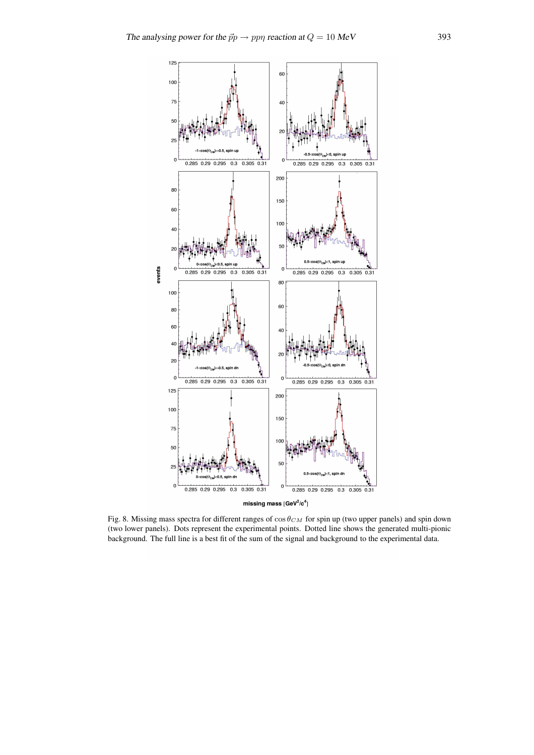

Fig. 8. Missing mass spectra for different ranges of  $\cos\theta_{CM}$  for spin up (two upper panels) and spin down (two lower panels). Dots represent the experimental points. Dotted line shows the generated multi-pionic background. The full line is a best fit of the sum of the signal and background to the experimental data.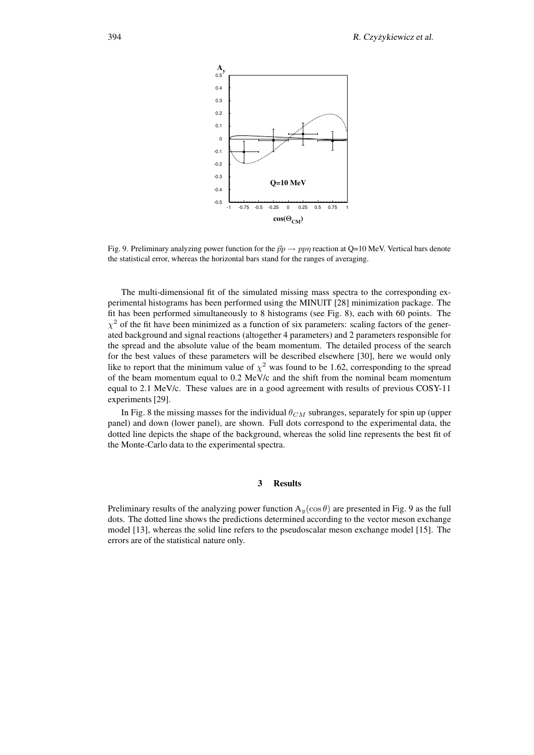

Fig. 9. Preliminary analyzing power function for the  $\vec{p}p \rightarrow pp\eta$  reaction at Q=10 MeV. Vertical bars denote the statistical error, whereas the horizontal bars stand for the ranges of averaging.

The multi-dimensional fit of the simulated missing mass spectra to the corresponding experimental histograms has been performed using the MINUIT [28] minimization package. The fit has been performed simultaneously to 8 histograms (see Fig. 8), each with 60 points. The  $\chi^2$  of the fit have been minimized as a function of six parameters: scaling factors of the generated background and signal reactions (altogether 4 parameters) and 2 parameters responsible for the spread and the absolute value of the beam momentum. The detailed process of the search for the best values of these parameters will be described elsewhere [30], here we would only like to report that the minimum value of  $\chi^2$  was found to be 1.62, corresponding to the spread of the beam momentum equal to 0.2 MeV/c and the shift from the nominal beam momentum equal to 2.1 MeV/c. These values are in a good agreement with results of previous COSY-11 experiments [29].

In Fig. 8 the missing masses for the individual  $\theta_{CM}$  subranges, separately for spin up (upper panel) and down (lower panel), are shown. Full dots correspond to the experimental data, the dotted line depicts the shape of the background, whereas the solid line represents the best fit of the Monte-Carlo data to the experimental spectra.

## **3 Results**

Preliminary results of the analyzing power function  $A_y(\cos \theta)$  are presented in Fig. 9 as the full dots. The dotted line shows the predictions determined according to the vector meson exchange model [13], whereas the solid line refers to the pseudoscalar meson exchange model [15]. The errors are of the statistical nature only.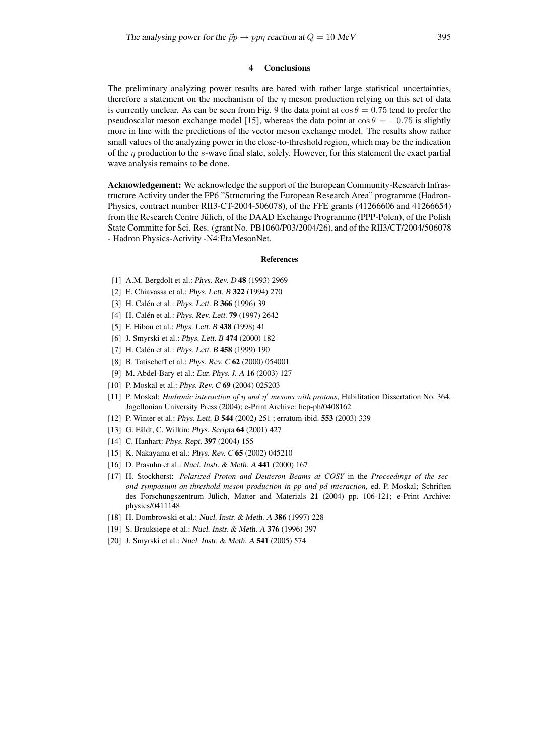## **4 Conclusions**

The preliminary analyzing power results are bared with rather large statistical uncertainties, therefore a statement on the mechanism of the  $\eta$  meson production relying on this set of data is currently unclear. As can be seen from Fig. 9 the data point at  $\cos \theta = 0.75$  tend to prefer the pseudoscalar meson exchange model [15], whereas the data point at  $\cos \theta = -0.75$  is slightly more in line with the predictions of the vector meson exchange model. The results show rather small values of the analyzing power in the close-to-threshold region, which may be the indication of the  $\eta$  production to the s-wave final state, solely. However, for this statement the exact partial wave analysis remains to be done.

**Acknowledgement:** We acknowledge the support of the European Community-Research Infrastructure Activity under the FP6 "Structuring the European Research Area" programme (Hadron-Physics, contract number RII3-CT-2004-506078), of the FFE grants (41266606 and 41266654) from the Research Centre Jülich, of the DAAD Exchange Programme (PPP-Polen), of the Polish State Committe for Sci. Res. (grant No. PB1060/P03/2004/26), and of the RII3/CT/2004/506078 - Hadron Physics-Activity -N4:EtaMesonNet.

#### **References**

- [1] A.M. Bergdolt et al.: Phys. Rev. <sup>D</sup> **48** (1993) 2969
- [2] E. Chiavassa et al.: Phys. Lett. <sup>B</sup> **322** (1994) 270
- [3] H. Calén et al.: *Phys. Lett. B* 366<sup>(1996) 39</sup>
- [4] H. Calén et al.: *Phys. Rev. Lett.* **79** (1997) 2642
- [5] F. Hibou et al.: Phys. Lett. <sup>B</sup> **438** (1998) 41
- [6] J. Smyrski et al.: Phys. Lett. <sup>B</sup> **474** (2000) 182
- [7] H. Calén et al.: *Phys. Lett. B* 458<sup>(1999) 190</sup>
- [8] B. Tatischeff et al.: Phys. Rev. <sup>C</sup> **62** (2000) 054001
- [9] M. Abdel-Bary et al.: Eur. Phys. J. <sup>A</sup> **16** (2003) 127
- [10] P. Moskal et al.: Phys. Rev. <sup>C</sup> **69** (2004) 025203
- [11] P. Moskal: *Hadronic interaction of* η *and* η <sup>0</sup> *mesons with protons*, Habilitation Dissertation No. 364, Jagellonian University Press (2004); e-Print Archive: hep-ph/0408162
- [12] P. Winter et al.: Phys. Lett. <sup>B</sup> **544** (2002) 251 ; erratum-ibid. **553** (2003) 339
- [13] G. Fäldt, C. Wilkin: *Phys. Scripta* **64** (2001) 427
- [14] C. Hanhart: Phys. Rept. **397** (2004) 155
- [15] K. Nakayama et al.: Phys. Rev. <sup>C</sup> **65** (2002) 045210
- [16] D. Prasuhn et al.: Nucl. Instr. & Meth. <sup>A</sup> **441** (2000) 167
- [17] H. Stockhorst: *Polarized Proton and Deuteron Beams at COSY* in the *Proceedings of the second symposium on threshold meson production in pp and pd interaction*, ed. P. Moskal; Schriften des Forschungszentrum Jülich, Matter and Materials 21 (2004) pp. 106-121; e-Print Archive: physics/0411148
- [18] H. Dombrowski et al.: Nucl. Instr. & Meth. <sup>A</sup> **386** (1997) 228
- [19] S. Brauksiepe et al.: Nucl. Instr. & Meth. <sup>A</sup> **376** (1996) 397
- [20] J. Smyrski et al.: Nucl. Instr. & Meth. <sup>A</sup> **541** (2005) 574